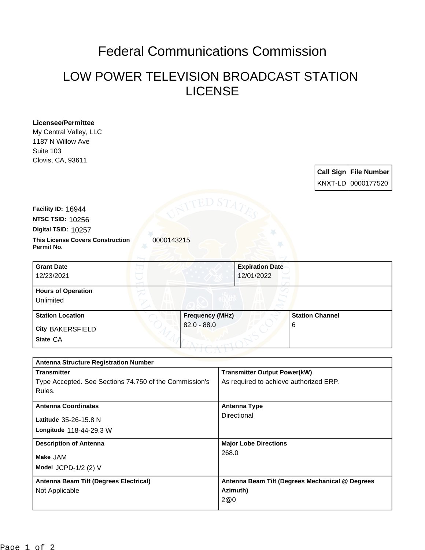## Federal Communications Commission

## LOW POWER TELEVISION BROADCAST STATION LICENSE

| <b>Licensee/Permittee</b>                              |                        |          |                                                 |                        |  |                              |  |
|--------------------------------------------------------|------------------------|----------|-------------------------------------------------|------------------------|--|------------------------------|--|
| My Central Valley, LLC                                 |                        |          |                                                 |                        |  |                              |  |
| 1187 N Willow Ave                                      |                        |          |                                                 |                        |  |                              |  |
| Suite 103                                              |                        |          |                                                 |                        |  |                              |  |
| Clovis, CA, 93611                                      |                        |          |                                                 |                        |  |                              |  |
|                                                        |                        |          |                                                 |                        |  | <b>Call Sign File Number</b> |  |
|                                                        |                        |          |                                                 |                        |  | KNXT-LD 0000177520           |  |
|                                                        |                        |          |                                                 |                        |  |                              |  |
|                                                        |                        |          |                                                 |                        |  |                              |  |
| Facility ID: 16944                                     |                        |          |                                                 |                        |  |                              |  |
| <b>NTSC TSID: 10256</b>                                |                        |          |                                                 |                        |  |                              |  |
| Digital TSID: 10257                                    |                        |          |                                                 |                        |  |                              |  |
| <b>This License Covers Construction</b>                | 0000143215             |          |                                                 |                        |  |                              |  |
| Permit No.                                             |                        |          |                                                 |                        |  |                              |  |
|                                                        |                        |          |                                                 |                        |  |                              |  |
| <b>Grant Date</b>                                      |                        |          | <b>Expiration Date</b>                          |                        |  |                              |  |
| 12/23/2021                                             |                        |          | 12/01/2022                                      |                        |  |                              |  |
| <b>Hours of Operation</b>                              |                        |          |                                                 |                        |  |                              |  |
| <b>Unlimited</b>                                       |                        |          |                                                 |                        |  |                              |  |
| <b>Station Location</b>                                | <b>Frequency (MHz)</b> |          |                                                 | <b>Station Channel</b> |  |                              |  |
|                                                        | $82.0 - 88.0$          |          |                                                 | 6                      |  |                              |  |
| <b>City BAKERSFIELD</b>                                |                        |          |                                                 |                        |  |                              |  |
| State CA                                               |                        |          |                                                 |                        |  |                              |  |
|                                                        |                        |          |                                                 |                        |  |                              |  |
| <b>Antenna Structure Registration Number</b>           |                        |          |                                                 |                        |  |                              |  |
| <b>Transmitter</b>                                     |                        |          | <b>Transmitter Output Power(kW)</b>             |                        |  |                              |  |
| Type Accepted. See Sections 74.750 of the Commission's |                        |          | As required to achieve authorized ERP.          |                        |  |                              |  |
| Rules.                                                 |                        |          |                                                 |                        |  |                              |  |
|                                                        |                        |          |                                                 |                        |  |                              |  |
| <b>Antenna Coordinates</b>                             |                        |          | <b>Antenna Type</b><br>Directional              |                        |  |                              |  |
| Latitude 35-26-15.8 N                                  |                        |          |                                                 |                        |  |                              |  |
| Longitude 118-44-29.3 W                                |                        |          |                                                 |                        |  |                              |  |
| <b>Description of Antenna</b>                          |                        |          | <b>Major Lobe Directions</b>                    |                        |  |                              |  |
|                                                        |                        | 268.0    |                                                 |                        |  |                              |  |
| Make JAM                                               |                        |          |                                                 |                        |  |                              |  |
| Model JCPD-1/2 (2) V                                   |                        |          |                                                 |                        |  |                              |  |
| <b>Antenna Beam Tilt (Degrees Electrical)</b>          |                        |          | Antenna Beam Tilt (Degrees Mechanical @ Degrees |                        |  |                              |  |
| Not Applicable                                         |                        | Azimuth) |                                                 |                        |  |                              |  |

2@0